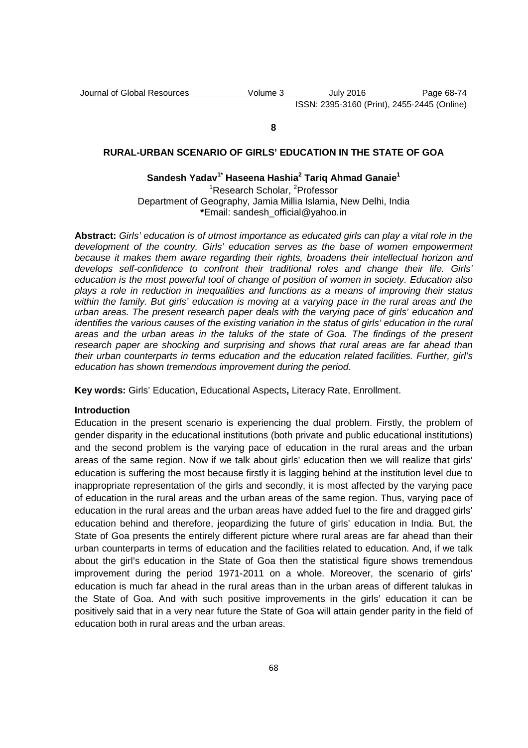Journal of Global Resources Volume 3 July 2016 Page 68-74 ISSN: 2395-3160 (Print), 2455-2445 (Online)

#### **8**

# **RURAL-URBAN SCENARIO OF GIRLS' EDUCATION IN THE STATE OF GOA**

## **Sandesh Yadav1\* Haseena Hashia<sup>2</sup> Tariq Ahmad Ganaie<sup>1</sup>**

<sup>1</sup>Research Scholar, <sup>2</sup>Professor Department of Geography, Jamia Millia Islamia, New Delhi, India **\***Email: sandesh\_official@yahoo.in

**Abstract:** Girls' education is of utmost importance as educated girls can play a vital role in the development of the country. Girls' education serves as the base of women empowerment because it makes them aware regarding their rights, broadens their intellectual horizon and develops self-confidence to confront their traditional roles and change their life. Girls' education is the most powerful tool of change of position of women in society. Education also plays a role in reduction in inequalities and functions as a means of improving their status within the family. But girls' education is moving at a varying pace in the rural areas and the urban areas. The present research paper deals with the varying pace of girls' education and identifies the various causes of the existing variation in the status of girls' education in the rural areas and the urban areas in the taluks of the state of Goa. The findings of the present research paper are shocking and surprising and shows that rural areas are far ahead than their urban counterparts in terms education and the education related facilities. Further, girl's education has shown tremendous improvement during the period.

**Key words:** Girls' Education, Educational Aspects**,** Literacy Rate, Enrollment.

#### **Introduction**

Education in the present scenario is experiencing the dual problem. Firstly, the problem of gender disparity in the educational institutions (both private and public educational institutions) and the second problem is the varying pace of education in the rural areas and the urban areas of the same region. Now if we talk about girls' education then we will realize that girls' education is suffering the most because firstly it is lagging behind at the institution level due to inappropriate representation of the girls and secondly, it is most affected by the varying pace of education in the rural areas and the urban areas of the same region. Thus, varying pace of education in the rural areas and the urban areas have added fuel to the fire and dragged girls' education behind and therefore, jeopardizing the future of girls' education in India. But, the State of Goa presents the entirely different picture where rural areas are far ahead than their urban counterparts in terms of education and the facilities related to education. And, if we talk about the girl's education in the State of Goa then the statistical figure shows tremendous improvement during the period 1971-2011 on a whole. Moreover, the scenario of girls' education is much far ahead in the rural areas than in the urban areas of different talukas in the State of Goa. And with such positive improvements in the girls' education it can be positively said that in a very near future the State of Goa will attain gender parity in the field of education both in rural areas and the urban areas.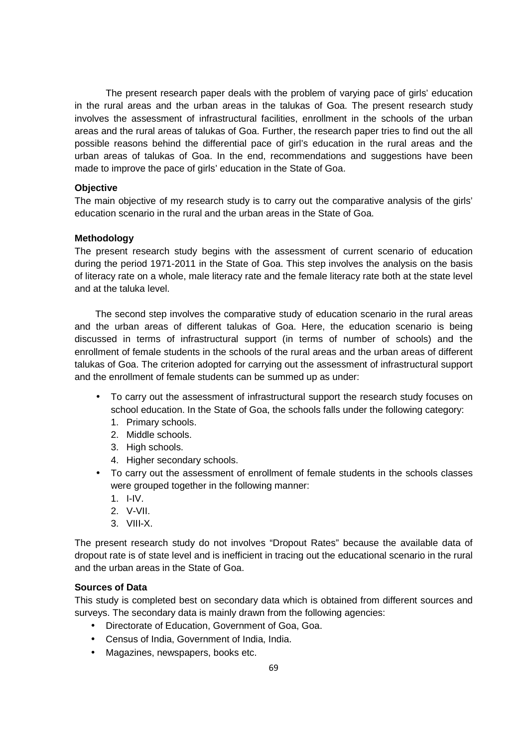The present research paper deals with the problem of varying pace of girls' education in the rural areas and the urban areas in the talukas of Goa. The present research study involves the assessment of infrastructural facilities, enrollment in the schools of the urban areas and the rural areas of talukas of Goa. Further, the research paper tries to find out the all possible reasons behind the differential pace of girl's education in the rural areas and the urban areas of talukas of Goa. In the end, recommendations and suggestions have been made to improve the pace of girls' education in the State of Goa.

## **Objective**

The main objective of my research study is to carry out the comparative analysis of the girls' education scenario in the rural and the urban areas in the State of Goa.

### **Methodology**

The present research study begins with the assessment of current scenario of education during the period 1971-2011 in the State of Goa. This step involves the analysis on the basis of literacy rate on a whole, male literacy rate and the female literacy rate both at the state level and at the taluka level.

The second step involves the comparative study of education scenario in the rural areas and the urban areas of different talukas of Goa. Here, the education scenario is being discussed in terms of infrastructural support (in terms of number of schools) and the enrollment of female students in the schools of the rural areas and the urban areas of different talukas of Goa. The criterion adopted for carrying out the assessment of infrastructural support and the enrollment of female students can be summed up as under:

- To carry out the assessment of infrastructural support the research study focuses on school education. In the State of Goa, the schools falls under the following category:
	- 1. Primary schools.
	- 2. Middle schools.
	- 3. High schools.
	- 4. Higher secondary schools.
- To carry out the assessment of enrollment of female students in the schools classes were grouped together in the following manner:
	- 1. I-IV.
	- 2. V-VII.
	- 3. VIII-X.

The present research study do not involves "Dropout Rates" because the available data of dropout rate is of state level and is inefficient in tracing out the educational scenario in the rural and the urban areas in the State of Goa.

## **Sources of Data**

This study is completed best on secondary data which is obtained from different sources and surveys. The secondary data is mainly drawn from the following agencies:

- Directorate of Education, Government of Goa, Goa.
- Census of India, Government of India, India.
- Magazines, newspapers, books etc.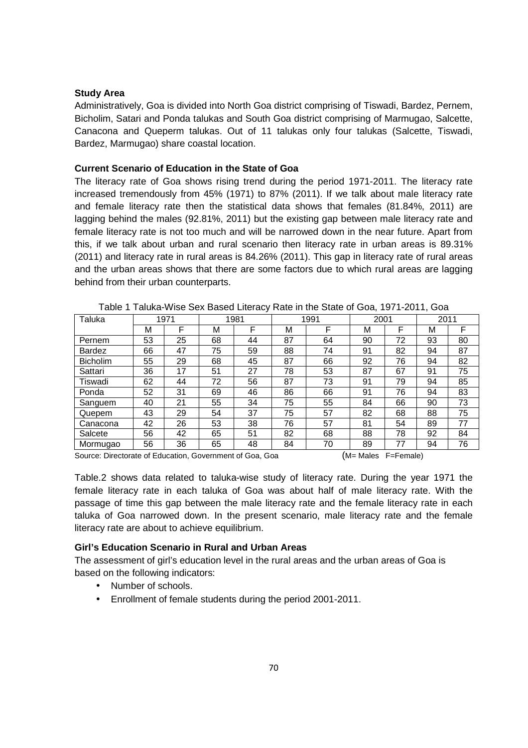## **Study Area**

Administratively, Goa is divided into North Goa district comprising of Tiswadi, Bardez, Pernem, Bicholim, Satari and Ponda talukas and South Goa district comprising of Marmugao, Salcette, Canacona and Queperm talukas. Out of 11 talukas only four talukas (Salcette, Tiswadi, Bardez, Marmugao) share coastal location.

### **Current Scenario of Education in the State of Goa**

The literacy rate of Goa shows rising trend during the period 1971-2011. The literacy rate increased tremendously from 45% (1971) to 87% (2011). If we talk about male literacy rate and female literacy rate then the statistical data shows that females (81.84%, 2011) are lagging behind the males (92.81%, 2011) but the existing gap between male literacy rate and female literacy rate is not too much and will be narrowed down in the near future. Apart from this, if we talk about urban and rural scenario then literacy rate in urban areas is 89.31% (2011) and literacy rate in rural areas is 84.26% (2011). This gap in literacy rate of rural areas and the urban areas shows that there are some factors due to which rural areas are lagging behind from their urban counterparts.

| Taluka                                                                                | 1971 |    | 1981 |    |    | 1991 |    | 2001 |    | 2011 |  |
|---------------------------------------------------------------------------------------|------|----|------|----|----|------|----|------|----|------|--|
|                                                                                       | М    | F  | м    | F  | м  | F    | M  | F    | м  | F    |  |
| Pernem                                                                                | 53   | 25 | 68   | 44 | 87 | 64   | 90 | 72   | 93 | 80   |  |
| <b>Bardez</b>                                                                         | 66   | 47 | 75   | 59 | 88 | 74   | 91 | 82   | 94 | 87   |  |
| <b>Bicholim</b>                                                                       | 55   | 29 | 68   | 45 | 87 | 66   | 92 | 76   | 94 | 82   |  |
| Sattari                                                                               | 36   | 17 | 51   | 27 | 78 | 53   | 87 | 67   | 91 | 75   |  |
| Tiswadi                                                                               | 62   | 44 | 72   | 56 | 87 | 73   | 91 | 79   | 94 | 85   |  |
| Ponda                                                                                 | 52   | 31 | 69   | 46 | 86 | 66   | 91 | 76   | 94 | 83   |  |
| Sanguem                                                                               | 40   | 21 | 55   | 34 | 75 | 55   | 84 | 66   | 90 | 73   |  |
| Quepem                                                                                | 43   | 29 | 54   | 37 | 75 | 57   | 82 | 68   | 88 | 75   |  |
| Canacona                                                                              | 42   | 26 | 53   | 38 | 76 | 57   | 81 | 54   | 89 | 77   |  |
| Salcete                                                                               | 56   | 42 | 65   | 51 | 82 | 68   | 88 | 78   | 92 | 84   |  |
| Mormugao                                                                              | 56   | 36 | 65   | 48 | 84 | 70   | 89 | 77   | 94 | 76   |  |
| $ML$ Maloc<br>Source: Directorate of Education, Covernment of Coa, Coa<br>$E-Eamola)$ |      |    |      |    |    |      |    |      |    |      |  |

Table 1 Taluka-Wise Sex Based Literacy Rate in the State of Goa, 1971-2011, Goa

Source: Directorate of Education, Government of Goa, Goa (M= Males F=Female)

Table.2 shows data related to taluka-wise study of literacy rate. During the year 1971 the female literacy rate in each taluka of Goa was about half of male literacy rate. With the passage of time this gap between the male literacy rate and the female literacy rate in each taluka of Goa narrowed down. In the present scenario, male literacy rate and the female literacy rate are about to achieve equilibrium.

## **Girl's Education Scenario in Rural and Urban Areas**

The assessment of girl's education level in the rural areas and the urban areas of Goa is based on the following indicators:

- Number of schools.
- Enrollment of female students during the period 2001-2011.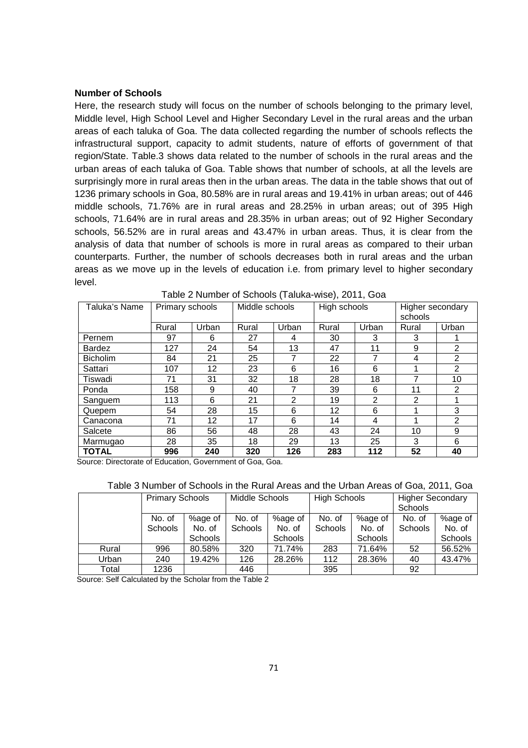### **Number of Schools**

Here, the research study will focus on the number of schools belonging to the primary level, Middle level, High School Level and Higher Secondary Level in the rural areas and the urban areas of each taluka of Goa. The data collected regarding the number of schools reflects the infrastructural support, capacity to admit students, nature of efforts of government of that region/State. Table.3 shows data related to the number of schools in the rural areas and the urban areas of each taluka of Goa. Table shows that number of schools, at all the levels are surprisingly more in rural areas then in the urban areas. The data in the table shows that out of 1236 primary schools in Goa, 80.58% are in rural areas and 19.41% in urban areas; out of 446 middle schools, 71.76% are in rural areas and 28.25% in urban areas; out of 395 High schools, 71.64% are in rural areas and 28.35% in urban areas; out of 92 Higher Secondary schools, 56.52% are in rural areas and 43.47% in urban areas. Thus, it is clear from the analysis of data that number of schools is more in rural areas as compared to their urban counterparts. Further, the number of schools decreases both in rural areas and the urban areas as we move up in the levels of education i.e. from primary level to higher secondary level.

| Taluka's Name   | Middle schools<br>High schools<br>Primary schools |       |       | Higher secondary |       |       |         |                |
|-----------------|---------------------------------------------------|-------|-------|------------------|-------|-------|---------|----------------|
|                 |                                                   |       |       |                  |       |       | schools |                |
|                 | Rural                                             | Urban | Rural | Urban            | Rural | Urban | Rural   | Urban          |
| Pernem          | 97                                                | 6     | 27    | 4                | 30    | 3     | 3       |                |
| <b>Bardez</b>   | 127                                               | 24    | 54    | 13               | 47    | 11    | 9       | 2              |
| <b>Bicholim</b> | 84                                                | 21    | 25    | 7                | 22    | 7     | 4       | 2              |
| Sattari         | 107                                               | 12    | 23    | 6                | 16    | 6     |         | 2              |
| Tiswadi         | 71                                                | 31    | 32    | 18               | 28    | 18    | 7       | 10             |
| Ponda           | 158                                               | 9     | 40    | 7                | 39    | 6     | 11      | 2              |
| Sanguem         | 113                                               | 6     | 21    | 2                | 19    | 2     | 2       |                |
| Quepem          | 54                                                | 28    | 15    | 6                | 12    | 6     |         | 3              |
| Canacona        | 71                                                | 12    | 17    | 6                | 14    | 4     |         | $\mathfrak{p}$ |
| Salcete         | 86                                                | 56    | 48    | 28               | 43    | 24    | 10      | 9              |
| Marmugao        | 28                                                | 35    | 18    | 29               | 13    | 25    | 3       | 6              |
| <b>TOTAL</b>    | 996                                               | 240   | 320   | 126              | 283   | 112   | 52      | 40             |

Table 2 Number of Schools (Taluka-wise), 2011, Goa

Source: Directorate of Education, Government of Goa, Goa.

### Table 3 Number of Schools in the Rural Areas and the Urban Areas of Goa, 2011, Goa

|       | <b>Primary Schools</b> |                | Middle Schools |                | <b>High Schools</b> |         | <b>Higher Secondary</b> |         |
|-------|------------------------|----------------|----------------|----------------|---------------------|---------|-------------------------|---------|
|       |                        |                |                |                |                     |         | <b>Schools</b>          |         |
|       | No. of                 | %age of        | No. of         | %age of        | No. of              | %age of | No. of                  | %age of |
|       | Schools                | No. of         | <b>Schools</b> | No. of         | <b>Schools</b>      | No. of  | <b>Schools</b>          | No. of  |
|       |                        | <b>Schools</b> |                | <b>Schools</b> |                     | Schools |                         | Schools |
| Rural | 996                    | 80.58%         | 320            | 71.74%         | 283                 | 71.64%  | 52                      | 56.52%  |
| Urban | 240                    | 19.42%         | 126            | 28.26%         | 112                 | 28.36%  | 40                      | 43.47%  |
| Total | 1236                   |                | 446            |                | 395                 |         | 92                      |         |

Source: Self Calculated by the Scholar from the Table 2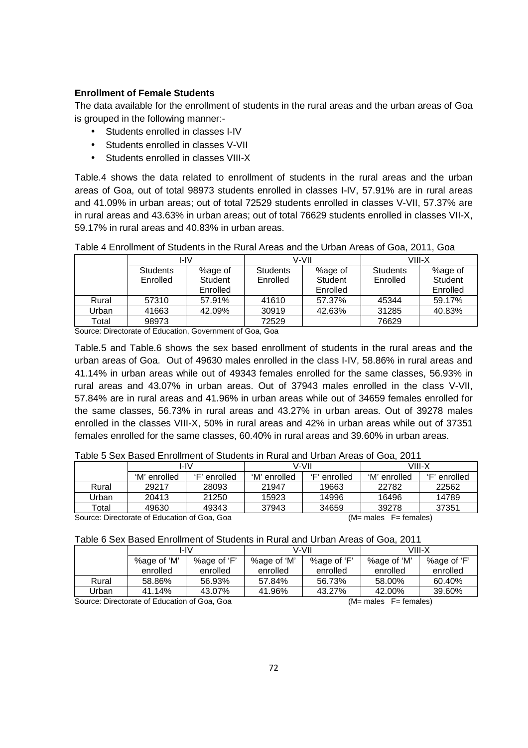## **Enrollment of Female Students**

The data available for the enrollment of students in the rural areas and the urban areas of Goa is grouped in the following manner:-

- Students enrolled in classes I-IV
- Students enrolled in classes V-VII
- Students enrolled in classes VIII-X

Table.4 shows the data related to enrollment of students in the rural areas and the urban areas of Goa, out of total 98973 students enrolled in classes I-IV, 57.91% are in rural areas and 41.09% in urban areas; out of total 72529 students enrolled in classes V-VII, 57.37% are in rural areas and 43.63% in urban areas; out of total 76629 students enrolled in classes VII-X, 59.17% in rural areas and 40.83% in urban areas.

|       |                 | I-IV     |                 | V-VII    | VIII-X          |          |  |
|-------|-----------------|----------|-----------------|----------|-----------------|----------|--|
|       | <b>Students</b> | %age of  | <b>Students</b> | %age of  | <b>Students</b> | %age of  |  |
|       | Enrolled        | Student  | Enrolled        | Student  | Enrolled        | Student  |  |
|       |                 | Enrolled |                 | Enrolled |                 | Enrolled |  |
| Rural | 57310           | 57.91%   | 41610           | 57.37%   | 45344           | 59.17%   |  |
| Urban | 41663           | 42.09%   | 30919           | 42.63%   | 31285           | 40.83%   |  |
| Total | 98973           |          | 72529           |          | 76629           |          |  |

Table 4 Enrollment of Students in the Rural Areas and the Urban Areas of Goa, 2011, Goa

Source: Directorate of Education, Government of Goa, Goa

Table.5 and Table.6 shows the sex based enrollment of students in the rural areas and the urban areas of Goa. Out of 49630 males enrolled in the class I-IV, 58.86% in rural areas and 41.14% in urban areas while out of 49343 females enrolled for the same classes, 56.93% in rural areas and 43.07% in urban areas. Out of 37943 males enrolled in the class V-VII, 57.84% are in rural areas and 41.96% in urban areas while out of 34659 females enrolled for the same classes, 56.73% in rural areas and 43.27% in urban areas. Out of 39278 males enrolled in the classes VIII-X, 50% in rural areas and 42% in urban areas while out of 37351 females enrolled for the same classes, 60.40% in rural areas and 39.60% in urban areas.

|       |              | I-IV            |              | V-VII        | VIII-X       |                 |  |  |  |
|-------|--------------|-----------------|--------------|--------------|--------------|-----------------|--|--|--|
|       | 'M' enrolled | '⊏'<br>enrolled | 'M' enrolled | 'F' enrolled | 'M' enrolled | '⊏'<br>enrolled |  |  |  |
| Rural | 29217        | 28093           | 21947        | 19663        | 22782        | 22562           |  |  |  |
| Urban | 20413        | 21250           | 15923        | 14996        | 16496        | 14789           |  |  |  |
| Total | 49630        | 49343           | 37943        | 34659        | 39278        | 37351           |  |  |  |
|       |              |                 |              |              |              |                 |  |  |  |

Table 5 Sex Based Enrollment of Students in Rural and Urban Areas of Goa, 2011

Source: Directorate of Education of Goa, Goa (M= males F= females)

### Table 6 Sex Based Enrollment of Students in Rural and Urban Areas of Goa, 2011

|       | I-IV        |             |             | V-VII       | VIII-X   |             |  |
|-------|-------------|-------------|-------------|-------------|----------|-------------|--|
|       | %age of 'M' | %age of 'F' | %age of 'M' | %age of 'F' |          | %age of 'F' |  |
|       | enrolled    | enrolled    | enrolled    | enrolled    | enrolled | enrolled    |  |
| Rural | 58.86%      | 56.93%      | 57.84%      | 56.73%      | 58.00%   | 60.40%      |  |
| Jrban | 41.14%      | 43.07%      | 41.96%      | 43.27%      | 42.00%   | 39.60%      |  |

Source: Directorate of Education of Goa, Goa (M= males F= females)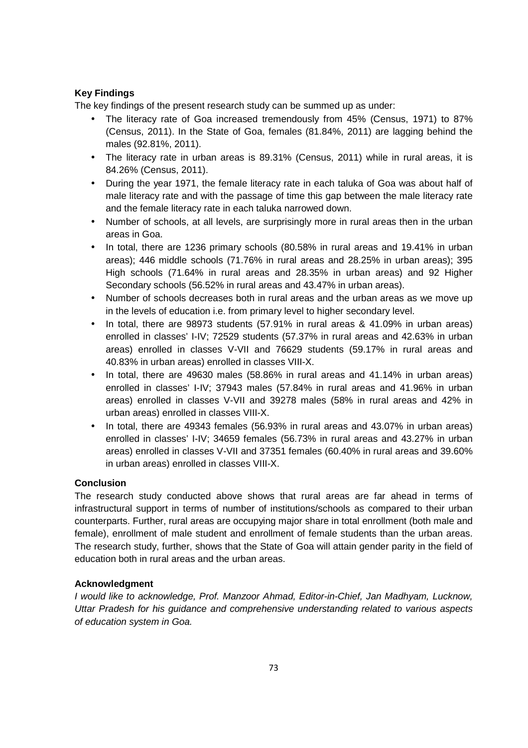# **Key Findings**

The key findings of the present research study can be summed up as under:

- The literacy rate of Goa increased tremendously from 45% (Census, 1971) to 87% (Census, 2011). In the State of Goa, females (81.84%, 2011) are lagging behind the males (92.81%, 2011).
- The literacy rate in urban areas is 89.31% (Census, 2011) while in rural areas, it is 84.26% (Census, 2011).
- During the year 1971, the female literacy rate in each taluka of Goa was about half of male literacy rate and with the passage of time this gap between the male literacy rate and the female literacy rate in each taluka narrowed down.
- Number of schools, at all levels, are surprisingly more in rural areas then in the urban areas in Goa.
- In total, there are 1236 primary schools (80.58% in rural areas and 19.41% in urban areas); 446 middle schools (71.76% in rural areas and 28.25% in urban areas); 395 High schools (71.64% in rural areas and 28.35% in urban areas) and 92 Higher Secondary schools (56.52% in rural areas and 43.47% in urban areas).
- Number of schools decreases both in rural areas and the urban areas as we move up in the levels of education i.e. from primary level to higher secondary level.
- In total, there are 98973 students (57.91% in rural areas & 41.09% in urban areas) enrolled in classes' I-IV; 72529 students (57.37% in rural areas and 42.63% in urban areas) enrolled in classes V-VII and 76629 students (59.17% in rural areas and 40.83% in urban areas) enrolled in classes VIII-X.
- In total, there are 49630 males (58.86% in rural areas and 41.14% in urban areas) enrolled in classes' I-IV; 37943 males (57.84% in rural areas and 41.96% in urban areas) enrolled in classes V-VII and 39278 males (58% in rural areas and 42% in urban areas) enrolled in classes VIII-X.
- In total, there are 49343 females (56.93% in rural areas and 43.07% in urban areas) enrolled in classes' I-IV; 34659 females (56.73% in rural areas and 43.27% in urban areas) enrolled in classes V-VII and 37351 females (60.40% in rural areas and 39.60% in urban areas) enrolled in classes VIII-X.

## **Conclusion**

The research study conducted above shows that rural areas are far ahead in terms of infrastructural support in terms of number of institutions/schools as compared to their urban counterparts. Further, rural areas are occupying major share in total enrollment (both male and female), enrollment of male student and enrollment of female students than the urban areas. The research study, further, shows that the State of Goa will attain gender parity in the field of education both in rural areas and the urban areas.

## **Acknowledgment**

I would like to acknowledge, Prof. Manzoor Ahmad, Editor-in-Chief, Jan Madhyam, Lucknow, Uttar Pradesh for his guidance and comprehensive understanding related to various aspects of education system in Goa.